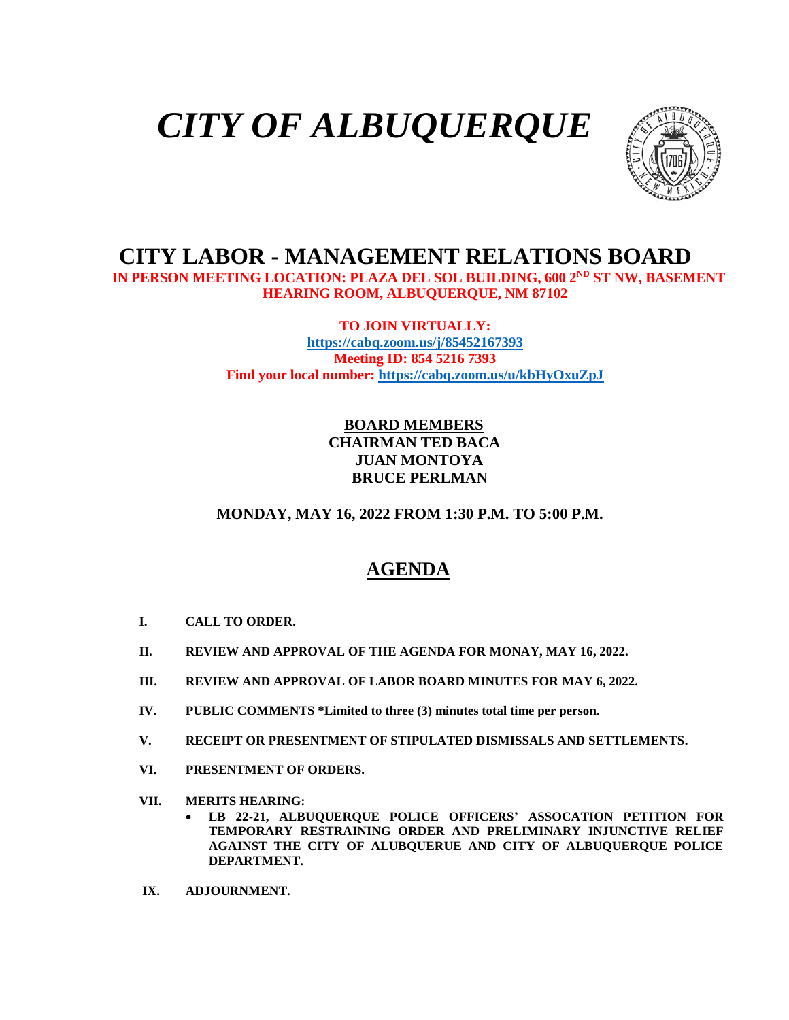# *CITY OF ALBUQUERQUE*



## **CITY LABOR - MANAGEMENT RELATIONS BOARD**

 **IN PERSON MEETING LOCATION: PLAZA DEL SOL BUILDING, 600 2ND ST NW, BASEMENT HEARING ROOM, ALBUQUERQUE, NM 87102**

> **TO JOIN VIRTUALLY: <https://cabq.zoom.us/j/85452167393> Meeting ID: 854 5216 7393 Find your local number:<https://cabq.zoom.us/u/kbHyOxuZpJ>**

#### **BOARD MEMBERS CHAIRMAN TED BACA JUAN MONTOYA BRUCE PERLMAN**

#### **MONDAY, MAY 16, 2022 FROM 1:30 P.M. TO 5:00 P.M.**

### **AGENDA**

- **I. CALL TO ORDER.**
- **II. REVIEW AND APPROVAL OF THE AGENDA FOR MONAY, MAY 16, 2022.**
- **III. REVIEW AND APPROVAL OF LABOR BOARD MINUTES FOR MAY 6, 2022.**
- **IV. PUBLIC COMMENTS \*Limited to three (3) minutes total time per person.**
- **V. RECEIPT OR PRESENTMENT OF STIPULATED DISMISSALS AND SETTLEMENTS.**
- **VI. PRESENTMENT OF ORDERS.**
- **VII. MERITS HEARING:**
	- **LB 22-21, ALBUQUERQUE POLICE OFFICERS' ASSOCATION PETITION FOR TEMPORARY RESTRAINING ORDER AND PRELIMINARY INJUNCTIVE RELIEF AGAINST THE CITY OF ALUBQUERUE AND CITY OF ALBUQUERQUE POLICE DEPARTMENT.**
- **IX. ADJOURNMENT.**